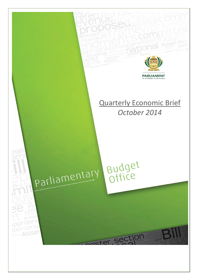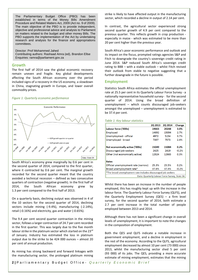The Parliamentary Budget Office (PBO) has been established in terms of the Money Bills Amendment Procedure and Related Matters Act, 2009 (Act no. 9 of 2009). The main objective of the PBO is to provide independent, objective and professional advice and analysis to Parliament on matters related to the budget and other money Bills. The PBO supports the implementation of the Act by undertaking research and analysis for the finance and appropriations committees.

Director: Prof Mohammed Jahed Contributing authors: Rashaad Amra (ed), Brandon Ellse Enquiries: ramra@parliament.gov.za

### **Growth**

The first half of 2014 saw the global economic recovery remain uneven and fragile. Key global developments affecting the South African economy over the period included signs of a recovery in the US economy, a slowdown in China, stagnating growth in Europe, and lower overall commodity prices.

#### *Figure 1: Quarterly economic performance*



South Africa's economy grew marginally by 0.6 per cent in the second quarter of 2014, compared to the first quarter, where it contracted by 0.6 per cent. The marginal growth recorded for the second quarter meant that the country avoided a technical recession – defined as two consecutive quarters of contraction (negative growth). In the first half of 2014, the South African economy grew by 1.3 per cent compared to the first half of 2013.

On a quarterly basis, declining output was observed in 4 of the 10 sectors for the second quarter of 2014, declining sectors include mining (-9.4%), manufacturing (-2.14%), retail (-0.16%) and electricity, gas and water (-0.65%).

The 9.4 per cent second quarter contraction in the mining sector, follows a larger contraction of 24.7 per cent recorded in the first quarter. This was largely due to the five month labour strike in the platinum sector which started on the 23<sup>rd</sup> of January. Industry has estimated the loss in platinum output due to the strike to be 424 000 ounces – almost 20 per cent of annual production.

As mining has strong backward and forward linkages with the manufacturing sector, the prolonged platinum mining strike is likely to have affected output in the manufacturing sector, which recorded a decline in output of 2.14 per cent.

In contrast, the agricultural sector experienced strong second quarter growth of 4.9 per cent compared to the previous quarter. This reflects growth in crop production especially in maize - which was estimated to be more than 20 per cent higher than the previous year.

South Africa's poor economic performance and outlook and its impact on the fiscus, prompted ratings agencies S&P and Fitch to downgrade the country's sovereign credit rating in June 2014. S&P reduced South Africa's sovereign credit rating to BBB – with a stable outlook – whilst Fitch revised their outlook from stable to negative suggesting that a further downgrade in the future is possible.

# **Employment**

Statistics South Africa estimates the official unemployment rate at 25.5 per cent in its Quarterly Labour Force Survey - a nationally representative household survey- for the second quarter of 2014. Using the broad definition of unemployment – which counts discouraged job-seekers amongst the unemployed – unemployment is estimated to be 37.4 per cent.

#### *Table 1: Key labour statistics*

|                                                               | 20 2013 | <b>2Q 2014</b> | Change  |  |
|---------------------------------------------------------------|---------|----------------|---------|--|
| Labour force ('000s)                                          | 19663   | 20248          | 3.0%    |  |
| Employed                                                      | 14692   | 15094          | 2.7%    |  |
| Unemploymed - official                                        | 4972    | 5154           | 3.7%    |  |
| Unemployed - broad                                            | 7397    | 7573           | 2.4%    |  |
| Not economically active ('000s)                               | 15049   | 15084          | 0.2%    |  |
| Discouraged job-seekers                                       | 2425    | 2419           | $-0.2%$ |  |
| Other (not economically active)                               | 12624   | 12665          | 0.3%    |  |
| <b>Rates</b>                                                  |         |                |         |  |
| Official unemployment rate (narrow)                           | 25.3%   | 25.5%          | 0.2%    |  |
| Broad unemployment rate*                                      | 37.6%   | 37.4%          | $-0.2%$ |  |
| *The broad unemployment rate includes discouraged job seekers |         |                |         |  |
| Data: Quarterly Labour Force Survey, Stats SA                 |         |                |         |  |

Whilst there has been an increase in the number of people employed, this has roughly kept up with the increase in the labour force. The Quarterly Labour Force Survey (QLFS), and the Quarterly Employment Survey (QES) – a firm level survey, for the second quarter of 2014, both estimate a 2.7 per cent increase in the total number of people employed between 2013 and 2014.

Although there has not been a significant change in overall levels of unemployment, it is important to note the changes in the composition of employment.

Both the QES and QLFS indicate a notable increase in government employment, and a decline in employment in the rest of the economy. According to the QLFS, agricultural employment decreased by almost 10 per cent (73 000) since 2013, whilst the manufacturing sector shed 5 per cent (93 000) of its jobs. The QES, providing a more accurate estimate of mining employment, estimates that the mining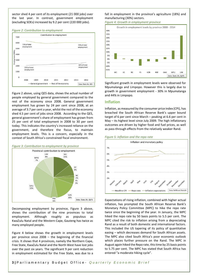sector shed 4 per cent of its employment (21 000 jobs) over the last year. In contrast, government employment (excluding SOEs) increased by 9.2 per cent (220 000 jobs).

#### *Figure 2: Contribution to employment*



Figure 2 above, using QES data, shows the actual number of people employed by general government compared to the rest of the economy since 2008. General government employment has grown by 24 per cent since 2008, at an average of 3.7 per cent a year, whilst the rest of the economy shed 4.5 per cent of jobs since 2008. According to the QES, general government's share of employment has grown from 25 per cent of total employment in 2008 to 30 per cent today. This indicates the country's increased reliance on the government, and therefore the fiscus, to maintain employment levels. This is a concern, especially in the context of South Africa's constrained fiscal environment.



Decomposing employment by province, Figure 3 above, shows the contribution of the nine provinces to total employment. Although roughly as populous as KwaZulu Natal and the Western Cape, Gauteng has twice as many employed people.

Figure 4 below shows the growth in employment levels per province since 2008 – the beginning of the financial crisis. It shows that 4 provinces, namely the Northern Cape, Free State, KwaZulu Natal and the North West have lost jobs over the past six years. The significant 9 per cent reduction in employment estimated for the Free State, was due to a

# fall in employment in the province's agriculture (18%) and manufacturing (30%) sectors.

*Figure 4: Growth in employment province*



Significant growth in employment levels were observed for Mpumalanga and Limpopo. However this is largely due to growth in government employment - 30% in Mpumalanga and 44% in Limpopo.

# **Inflation**

Inflation, as measured by the consumer price index (CPI), has breached the South African Reserve Bank's upper bound target of 6 per cent since March – peaking at 6.6 per cent in May – its highest level since July 2009. The high inflationary outcomes are driven by higher food and fuel prices, as well as pass-through effects from the relatively weaker Rand.





Expectations of rising inflation, combined with higher actual inflation, has prompted the South African Reserve Bank's Monetary Policy Committee (MPC) to hike the repo rate twice since the beginning of the year. In January, the MPC hiked the repo rate by 50 basis points to 5.5 per cent. The MPC cited the risk to inflation arising from a depreciating Rand as a result of both domestic and international factors. This included the US tapering of its policy of quantitative easing – which decreases demand for South African assets. The MPC also cited South Africa's poor economic outlook which places further pressure on the Rand. The MPC in August again hiked the Repo rate, this time by 25 basis points to 5.75 per cent. The MPC has stated that South Africa has entered "a moderate hiking cycle".